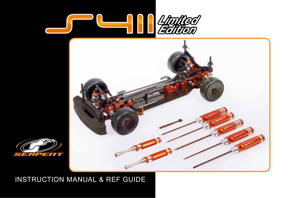





## INSTRUCTION MANUAL & REF GUIDE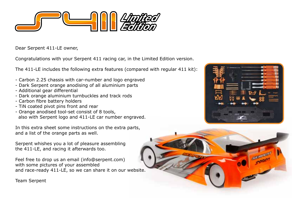

Dear Serpent 411-LE owner,

Congratulations with your Serpent 411 racing car, in the Limited Edition version.

The 411-LE includes the following extra features (compared with regular 411 kit):

- Carbon 2.25 chassis with car-number and logo engraved
- Dark Serpent orange anodising of all aluminium parts
- Additional gear differential
- Dark orange aluminium turnbuckles and track rods
- Carbon fibre battery holders
- TiN coated pivot pins front and rear
- Orange anodised tool-set consist of 8 tools, also with Serpent logo and 411-LE car number engraved.

In this extra sheet some instructions on the extra parts, and a list of the orange parts as well.

Serpent whishes you a lot of pleasure assembling the 411-LE, and racing it afterwards too.

Feel free to drop us an email (info@serpent.com) with some pictures of your assembled and race-ready 411-LE, so we can share it on our website.





Team Serpent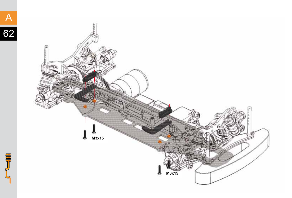

S